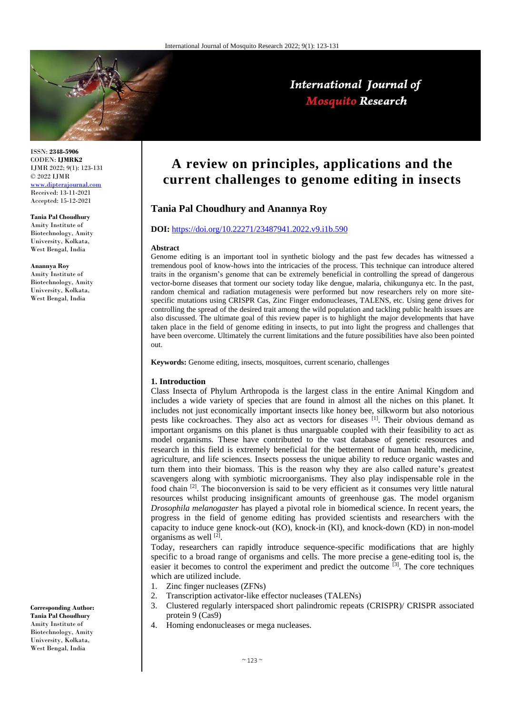

International Journal of **Mosquito Research** 

ISSN: **2348-5906** CODEN: **IJMRK2** IJMR 2022; 9(1): 123-131 © 2022 IJMR [www.dipterajournal.com](file://///server/d/Mosquito/Issue/8%20Volume/www.dipterajournal.com)

Received: 13-11-2021 Accepted: 15-12-2021

**Tania Pal Choudhury** 

Amity Institute of Biotechnology, Amity University, Kolkata, West Bengal, India

**Anannya Roy** Amity Institute of Biotechnology, Amity University, Kolkata, West Bengal, India

**Corresponding Author: Tania Pal Choudhury**  Amity Institute of Biotechnology, Amity University, Kolkata, West Bengal, India

**A review on principles, applications and the current challenges to genome editing in insects**

## **Tania Pal Choudhury and Anannya Roy**

# **DOI:** <https://doi.org/10.22271/23487941.2022.v9.i1b.590>

#### **Abstract**

Genome editing is an important tool in synthetic biology and the past few decades has witnessed a tremendous pool of know-hows into the intricacies of the process. This technique can introduce altered traits in the organism's genome that can be extremely beneficial in controlling the spread of dangerous vector-borne diseases that torment our society today like dengue, malaria, chikungunya etc. In the past, random chemical and radiation mutagenesis were performed but now researchers rely on more sitespecific mutations using CRISPR Cas, Zinc Finger endonucleases, TALENS, etc. Using gene drives for controlling the spread of the desired trait among the wild population and tackling public health issues are also discussed. The ultimate goal of this review paper is to highlight the major developments that have taken place in the field of genome editing in insects, to put into light the progress and challenges that have been overcome. Ultimately the current limitations and the future possibilities have also been pointed out.

**Keywords:** Genome editing, insects, mosquitoes, current scenario, challenges

#### **1. Introduction**

Class Insecta of Phylum Arthropoda is the largest class in the entire Animal Kingdom and includes a wide variety of species that are found in almost all the niches on this planet. It includes not just economically important insects like honey bee, silkworm but also notorious pests like cockroaches. They also act as vectors for diseases  $\left[1\right]$ . Their obvious demand as important organisms on this planet is thus unarguable coupled with their feasibility to act as model organisms. These have contributed to the vast database of genetic resources and research in this field is extremely beneficial for the betterment of human health, medicine, agriculture, and life sciences. Insects possess the unique ability to reduce organic wastes and turn them into their biomass. This is the reason why they are also called nature's greatest scavengers along with symbiotic microorganisms. They also play indispensable role in the food chain  $[2]$ . The bioconversion is said to be very efficient as it consumes very little natural resources whilst producing insignificant amounts of greenhouse gas. The model organism *Drosophila melanogaster* has played a pivotal role in biomedical science. In recent years, the progress in the field of genome editing has provided scientists and researchers with the capacity to induce gene knock-out (KO), knock-in (KI), and knock-down (KD) in non-model organisms as well [2].

Today, researchers can rapidly introduce sequence-specific modifications that are highly specific to a broad range of organisms and cells. The more precise a gene-editing tool is, the easier it becomes to control the experiment and predict the outcome  $\left[3\right]$ . The core techniques which are utilized include.

- 1. Zinc finger nucleases (ZFNs)
- 2. Transcription activator-like effector nucleases (TALENs)
- 3. Clustered regularly interspaced short palindromic repeats (CRISPR)/ CRISPR associated protein 9 (Cas9)
- 4. Homing endonucleases or mega nucleases.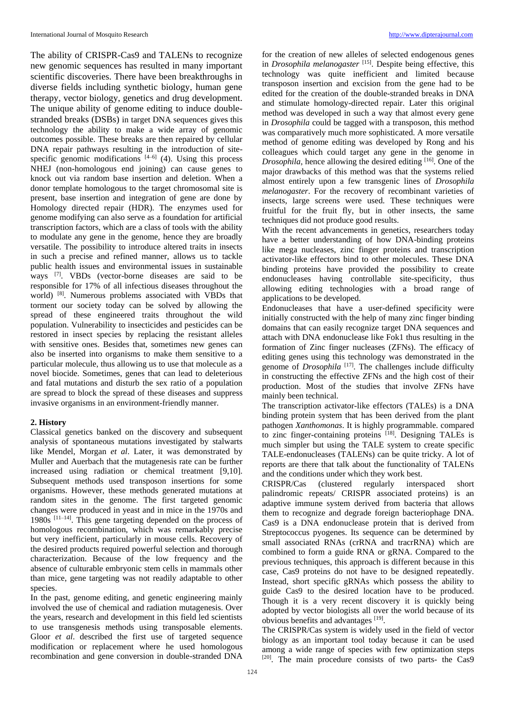The ability of CRISPR-Cas9 and TALENs to recognize new genomic sequences has resulted in many important scientific discoveries. There have been breakthroughs in diverse fields including synthetic biology, human gene therapy, vector biology, genetics and drug development. The unique ability of genome editing to induce doublestranded breaks (DSBs) in target DNA sequences gives this technology the ability to make a wide array of genomic outcomes possible. These breaks are then repaired by cellular DNA repair pathways resulting in the introduction of sitespecific genomic modifications  $[4-6]$  (4). Using this process NHEJ (non-homologous end joining) can cause genes to knock out via random base insertion and deletion. When a donor template homologous to the target chromosomal site is present, base insertion and integration of gene are done by Homology directed repair (HDR). The enzymes used for genome modifying can also serve as a foundation for artificial transcription factors, which are a class of tools with the ability to modulate any gene in the genome, hence they are broadly versatile. The possibility to introduce altered traits in insects in such a precise and refined manner, allows us to tackle public health issues and environmental issues in sustainable ways [7]. VBDs (vector-borne diseases are said to be responsible for 17% of all infectious diseases throughout the world) [8]. Numerous problems associated with VBDs that torment our society today can be solved by allowing the spread of these engineered traits throughout the wild population. Vulnerability to insecticides and pesticides can be restored in insect species by replacing the resistant alleles with sensitive ones. Besides that, sometimes new genes can also be inserted into organisms to make them sensitive to a particular molecule, thus allowing us to use that molecule as a novel biocide. Sometimes, genes that can lead to deleterious and fatal mutations and disturb the sex ratio of a population are spread to block the spread of these diseases and suppress invasive organisms in an environment-friendly manner.

## **2. History**

Classical genetics banked on the discovery and subsequent analysis of spontaneous mutations investigated by stalwarts like Mendel, Morgan *et al*. Later, it was demonstrated by Muller and Auerbach that the mutagenesis rate can be further increased using radiation or chemical treatment [9,10]. Subsequent methods used transposon insertions for some organisms. However, these methods generated mutations at random sites in the genome. The first targeted genomic changes were produced in yeast and in mice in the 1970s and 1980s [11–14]. This gene targeting depended on the process of homologous recombination, which was remarkably precise but very inefficient, particularly in mouse cells. Recovery of the desired products required powerful selection and thorough characterization. Because of the low frequency and the absence of culturable embryonic stem cells in mammals other than mice, gene targeting was not readily adaptable to other species.

In the past, genome editing, and genetic engineering mainly involved the use of chemical and radiation mutagenesis. Over the years, research and development in this field led scientists to use transgenesis methods using transposable elements. Gloor *et al*. described the first use of targeted sequence modification or replacement where he used homologous recombination and gene conversion in double-stranded DNA

for the creation of new alleles of selected endogenous genes in *Drosophila melanogaster* [15]. Despite being effective, this technology was quite inefficient and limited because transposon insertion and excision from the gene had to be edited for the creation of the double-stranded breaks in DNA and stimulate homology-directed repair. Later this original method was developed in such a way that almost every gene in *Drosophila* could be tagged with a transposon, this method was comparatively much more sophisticated. A more versatile method of genome editing was developed by Rong and his colleagues which could target any gene in the genome in *Drosophila*, hence allowing the desired editing [16]. One of the major drawbacks of this method was that the systems relied almost entirely upon a few transgenic lines of *Drosophila melanogaster*. For the recovery of recombinant varieties of insects, large screens were used. These techniques were fruitful for the fruit fly, but in other insects, the same techniques did not produce good results.

With the recent advancements in genetics, researchers today have a better understanding of how DNA-binding proteins like mega nucleases, zinc finger proteins and transcription activator-like effectors bind to other molecules. These DNA binding proteins have provided the possibility to create endonucleases having controllable site-specificity, thus allowing editing technologies with a broad range of applications to be developed.

Endonucleases that have a user-defined specificity were initially constructed with the help of many zinc finger binding domains that can easily recognize target DNA sequences and attach with DNA endonuclease like Fok1 thus resulting in the formation of Zinc finger nucleases (ZFNs). The efficacy of editing genes using this technology was demonstrated in the genome of *Drosophila* [17]. The challenges include difficulty in constructing the effective ZFNs and the high cost of their production. Most of the studies that involve ZFNs have mainly been technical.

The transcription activator-like effectors (TALEs) is a DNA binding protein system that has been derived from the plant pathogen *Xanthomonas*. It is highly programmable. compared to zinc finger-containing proteins [18]. Designing TALEs is much simpler but using the TALE system to create specific TALE-endonucleases (TALENs) can be quite tricky. A lot of reports are there that talk about the functionality of TALENs and the conditions under which they work best.

CRISPR/Cas (clustered regularly interspaced short palindromic repeats/ CRISPR associated proteins) is an adaptive immune system derived from bacteria that allows them to recognize and degrade foreign bacteriophage DNA. Cas9 is a DNA endonuclease protein that is derived from Streptococcus pyogenes. Its sequence can be determined by small associated RNAs (crRNA and tracrRNA) which are combined to form a guide RNA or gRNA. Compared to the previous techniques, this approach is different because in this case, Cas9 proteins do not have to be designed repeatedly. Instead, short specific gRNAs which possess the ability to guide Cas9 to the desired location have to be produced. Though it is a very recent discovery it is quickly being adopted by vector biologists all over the world because of its obvious benefits and advantages [19].

The CRISPR/Cas system is widely used in the field of vector biology as an important tool today because it can be used among a wide range of species with few optimization steps [20]. The main procedure consists of two parts- the Cas9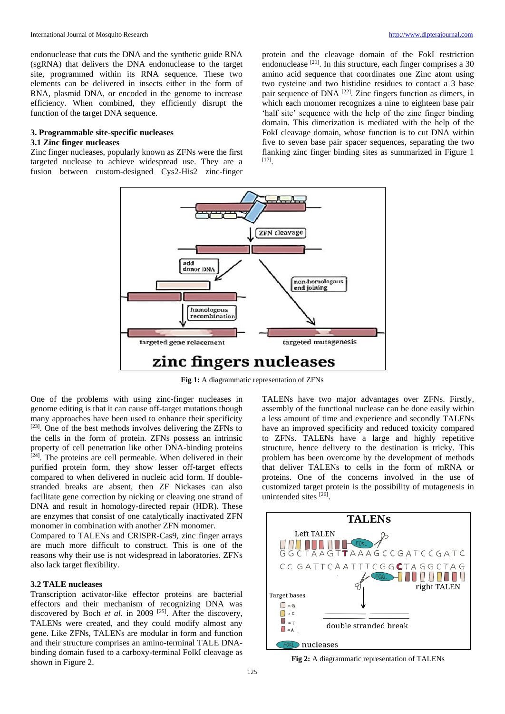endonuclease that cuts the DNA and the synthetic guide RNA (sgRNA) that delivers the DNA endonuclease to the target site, programmed within its RNA sequence. These two elements can be delivered in insects either in the form of RNA, plasmid DNA, or encoded in the genome to increase efficiency. When combined, they efficiently disrupt the function of the target DNA sequence.

### **3. Programmable site-specific nucleases 3.1 Zinc finger nucleases**

Zinc finger nucleases, popularly known as ZFNs were the first targeted nuclease to achieve widespread use. They are a fusion between custom-designed Cys2-His2 zinc-finger protein and the cleavage domain of the FokI restriction endonuclease  $[21]$ . In this structure, each finger comprises a 30 amino acid sequence that coordinates one Zinc atom using two cysteine and two histidine residues to contact a 3 base pair sequence of DNA [22]. Zinc fingers function as dimers, in which each monomer recognizes a nine to eighteen base pair 'half site' sequence with the help of the zinc finger binding domain. This dimerization is mediated with the help of the FokI cleavage domain, whose function is to cut DNA within five to seven base pair spacer sequences, separating the two flanking zinc finger binding sites as summarized in Figure 1 [17] .



**Fig 1:** A diagrammatic representation of ZFNs

One of the problems with using zinc-finger nucleases in genome editing is that it can cause off-target mutations though many approaches have been used to enhance their specificity [23]. One of the best methods involves delivering the ZFNs to the cells in the form of protein. ZFNs possess an intrinsic property of cell penetration like other DNA-binding proteins  $[24]$ . The proteins are cell permeable. When delivered in their purified protein form, they show lesser off-target effects compared to when delivered in nucleic acid form. If doublestranded breaks are absent, then ZF Nickases can also facilitate gene correction by nicking or cleaving one strand of DNA and result in homology-directed repair (HDR). These are enzymes that consist of one catalytically inactivated ZFN monomer in combination with another ZFN monomer.

Compared to TALENs and CRISPR-Cas9, zinc finger arrays are much more difficult to construct. This is one of the reasons why their use is not widespread in laboratories. ZFNs also lack target flexibility.

#### **3.2 TALE nucleases**

Transcription activator-like effector proteins are bacterial effectors and their mechanism of recognizing DNA was discovered by Boch *et al.* in 2009<sup>[25]</sup>. After the discovery, TALENs were created, and they could modify almost any gene. Like ZFNs, TALENs are modular in form and function and their structure comprises an amino-terminal TALE DNAbinding domain fused to a carboxy-terminal FolkI cleavage as shown in Figure 2.

TALENs have two major advantages over ZFNs. Firstly, assembly of the functional nuclease can be done easily within a less amount of time and experience and secondly TALENs have an improved specificity and reduced toxicity compared to ZFNs. TALENs have a large and highly repetitive structure, hence delivery to the destination is tricky. This problem has been overcome by the development of methods that deliver TALENs to cells in the form of mRNA or proteins. One of the concerns involved in the use of customized target protein is the possibility of mutagenesis in unintended sites [26].



**Fig 2:** A diagrammatic representation of TALENs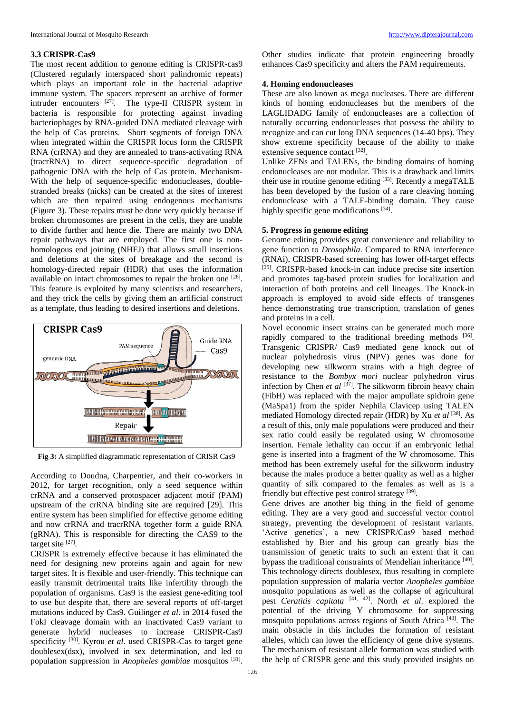#### **3.3 CRISPR-Cas9**

The most recent addition to genome editing is CRISPR-cas9 (Clustered regularly interspaced short palindromic repeats) which plays an important role in the bacterial adaptive immune system. The spacers represent an archive of former intruder encounters  $[27]$ . The type-II CRISPR system in bacteria is responsible for protecting against invading bacteriophages by RNA-guided DNA mediated cleavage with the help of Cas proteins. Short segments of foreign DNA when integrated within the CRISPR locus form the CRISPR RNA (crRNA) and they are annealed to trans-activating RNA (tracrRNA) to direct sequence-specific degradation of pathogenic DNA with the help of Cas protein. Mechanism-With the help of sequence-specific endonucleases, doublestranded breaks (nicks) can be created at the sites of interest which are then repaired using endogenous mechanisms (Figure 3). These repairs must be done very quickly because if broken chromosomes are present in the cells, they are unable to divide further and hence die. There are mainly two DNA repair pathways that are employed. The first one is nonhomologous end joining (NHEJ) that allows small insertions and deletions at the sites of breakage and the second is homology-directed repair (HDR) that uses the information available on intact chromosomes to repair the broken one [28]. This feature is exploited by many scientists and researchers, and they trick the cells by giving them an artificial construct as a template, thus leading to desired insertions and deletions.



**Fig 3:** A simplified diagrammatic representation of CRISR Cas9

According to Doudna, Charpentier, and their co-workers in 2012, for target recognition, only a seed sequence within crRNA and a conserved protospacer adjacent motif (PAM) upstream of the crRNA binding site are required [29]. This entire system has been simplified for effective genome editing and now crRNA and tracrRNA together form a guide RNA (gRNA). This is responsible for directing the CAS9 to the target site  $^{[27]}$ .

CRISPR is extremely effective because it has eliminated the need for designing new proteins again and again for new target sites. It is flexible and user-friendly. This technique can easily transmit detrimental traits like infertility through the population of organisms. Cas9 is the easiest gene-editing tool to use but despite that, there are several reports of off-target mutations induced by Cas9. Guilinger *et al*. in 2014 fused the FokI cleavage domain with an inactivated Cas9 variant to generate hybrid nucleases to increase CRISPR-Cas9 specificity<sup>[30]</sup>. Kyrou *et al*. used CRISPR-Cas to target gene doublesex(dsx), involved in sex determination, and led to population suppression in *Anopheles gambiae* mosquitos [31] . Other studies indicate that protein engineering broadly enhances Cas9 specificity and alters the PAM requirements.

### **4. Homing endonucleases**

These are also known as mega nucleases. There are different kinds of homing endonucleases but the members of the LAGLIDADG family of endonucleases are a collection of naturally occurring endonucleases that possess the ability to recognize and can cut long DNA sequences (14-40 bps). They show extreme specificity because of the ability to make extensive sequence contact [32].

Unlike ZFNs and TALENs, the binding domains of homing endonucleases are not modular. This is a drawback and limits their use in routine genome editing [33]. Recently a megaTALE has been developed by the fusion of a rare cleaving homing endonuclease with a TALE-binding domain. They cause highly specific gene modifications [34].

## **5. Progress in genome editing**

Genome editing provides great convenience and reliability to gene function to *Drosophila*. Compared to RNA interference (RNAi), CRISPR-based screening has lower off-target effects [35]. CRISPR-based knock-in can induce precise site insertion and promotes tag-based protein studies for localization and interaction of both proteins and cell lineages. The Knock-in approach is employed to avoid side effects of transgenes hence demonstrating true transcription, translation of genes and proteins in a cell.

Novel economic insect strains can be generated much more rapidly compared to the traditional breeding methods  $[36]$ . Transgenic CRISPR/ Cas9 mediated gene knock out of nuclear polyhedrosis virus (NPV) genes was done for developing new silkworm strains with a high degree of resistance to the *Bombyx mori* nuclear polyhedron virus infection by Chen *et al* <sup>[37]</sup>. The silkworm fibroin heavy chain (FibH) was replaced with the major ampullate spidroin gene (MaSpa1) from the spider Nephila Clavicep using TALEN mediated Homology directed repair (HDR) by Xu *et al* [38]. As a result of this, only male populations were produced and their sex ratio could easily be regulated using W chromosome insertion. Female lethality can occur if an embryonic lethal gene is inserted into a fragment of the W chromosome. This method has been extremely useful for the silkworm industry because the males produce a better quality as well as a higher quantity of silk compared to the females as well as is a friendly but effective pest control strategy [39].

Gene drives are another big thing in the field of genome editing. They are a very good and successful vector control strategy, preventing the development of resistant variants. 'Active genetics', a new CRISPR/Cas9 based method established by Bier and his group can greatly bias the transmission of genetic traits to such an extent that it can bypass the traditional constraints of Mendelian inheritance [40]. This technology directs doublesex, thus resulting in complete population suppression of malaria vector *Anopheles gambiae* mosquito populations as well as the collapse of agricultural pest *Ceratitis capitata* [41, 42]. North *et al*. explored the potential of the driving Y chromosome for suppressing mosquito populations across regions of South Africa [43]. The main obstacle in this includes the formation of resistant alleles, which can lower the efficiency of gene drive systems. The mechanism of resistant allele formation was studied with the help of CRISPR gene and this study provided insights on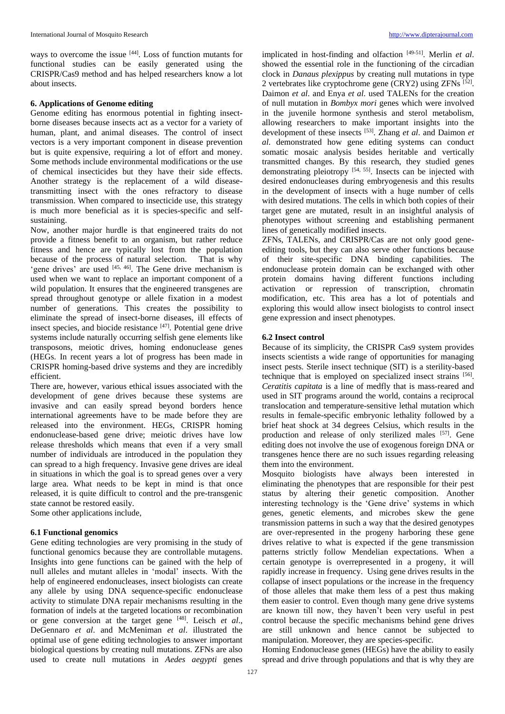ways to overcome the issue <sup>[44]</sup>. Loss of function mutants for functional studies can be easily generated using the CRISPR/Cas9 method and has helped researchers know a lot about insects.

#### **6. Applications of Genome editing**

Genome editing has enormous potential in fighting insectborne diseases because insects act as a vector for a variety of human, plant, and animal diseases. The control of insect vectors is a very important component in disease prevention but is quite expensive, requiring a lot of effort and money. Some methods include environmental modifications or the use of chemical insecticides but they have their side effects. Another strategy is the replacement of a wild diseasetransmitting insect with the ones refractory to disease transmission. When compared to insecticide use, this strategy is much more beneficial as it is species-specific and selfsustaining.

Now, another major hurdle is that engineered traits do not provide a fitness benefit to an organism, but rather reduce fitness and hence are typically lost from the population because of the process of natural selection. That is why 'gene drives' are used [45, 46]. The Gene drive mechanism is used when we want to replace an important component of a wild population. It ensures that the engineered transgenes are spread throughout genotype or allele fixation in a modest number of generations. This creates the possibility to eliminate the spread of insect-borne diseases, ill effects of insect species, and biocide resistance [47]. Potential gene drive systems include naturally occurring selfish gene elements like transposons, meiotic drives, homing endonuclease genes (HEGs. In recent years a lot of progress has been made in CRISPR homing-based drive systems and they are incredibly efficient.

There are, however, various ethical issues associated with the development of gene drives because these systems are invasive and can easily spread beyond borders hence international agreements have to be made before they are released into the environment. HEGs, CRISPR homing endonuclease-based gene drive; meiotic drives have low release thresholds which means that even if a very small number of individuals are introduced in the population they can spread to a high frequency. Invasive gene drives are ideal in situations in which the goal is to spread genes over a very large area. What needs to be kept in mind is that once released, it is quite difficult to control and the pre-transgenic state cannot be restored easily.

Some other applications include,

### **6.1 Functional genomics**

Gene editing technologies are very promising in the study of functional genomics because they are controllable mutagens. Insights into gene functions can be gained with the help of null alleles and mutant alleles in 'modal' insects. With the help of engineered endonucleases, insect biologists can create any allele by using DNA sequence-specific endonuclease activity to stimulate DNA repair mechanisms resulting in the formation of indels at the targeted locations or recombination or gene conversion at the target gene [48]. Leisch *et al*., DeGennaro *et al*. and McMeniman *et al*. illustrated the optimal use of gene editing technologies to answer important biological questions by creating null mutations. ZFNs are also used to create null mutations in *Aedes aegypti* genes

implicated in host-finding and olfaction [49-51]. Merlin *et al*. showed the essential role in the functioning of the circadian clock in *Danaus plexippus* by creating null mutations in type 2 vertebrates like cryptochrome gene (CRY2) using ZFNs [52]. Daimon *et al*. and Enya *et al*. used TALENs for the creation of null mutation in *Bombyx mori* genes which were involved in the juvenile hormone synthesis and sterol metabolism, allowing researchers to make important insights into the development of these insects [53]. Zhang *et al*. and Daimon *et al*. demonstrated how gene editing systems can conduct somatic mosaic analysis besides heritable and vertically transmitted changes. By this research, they studied genes demonstrating pleiotropy [54, 55]. Insects can be injected with desired endonucleases during embryogenesis and this results in the development of insects with a huge number of cells with desired mutations. The cells in which both copies of their target gene are mutated, result in an insightful analysis of phenotypes without screening and establishing permanent lines of genetically modified insects.

ZFNs, TALENs, and CRISPR/Cas are not only good geneediting tools, but they can also serve other functions because of their site-specific DNA binding capabilities. The endonuclease protein domain can be exchanged with other protein domains having different functions including activation or repression of transcription, chromatin modification, etc. This area has a lot of potentials and exploring this would allow insect biologists to control insect gene expression and insect phenotypes.

#### **6.2 Insect control**

Because of its simplicity, the CRISPR Cas9 system provides insects scientists a wide range of opportunities for managing insect pests. Sterile insect technique (SIT) is a sterility-based technique that is employed on specialized insect strains [56] . *Ceratitis capitata* is a line of medfly that is mass-reared and used in SIT programs around the world, contains a reciprocal translocation and temperature-sensitive lethal mutation which results in female-specific embryonic lethality followed by a brief heat shock at 34 degrees Celsius, which results in the production and release of only sterilized males [57]. Gene editing does not involve the use of exogenous foreign DNA or transgenes hence there are no such issues regarding releasing them into the environment.

Mosquito biologists have always been interested in eliminating the phenotypes that are responsible for their pest status by altering their genetic composition. Another interesting technology is the 'Gene drive' systems in which genes, genetic elements, and microbes skew the gene transmission patterns in such a way that the desired genotypes are over-represented in the progeny harboring these gene drives relative to what is expected if the gene transmission patterns strictly follow Mendelian expectations. When a certain genotype is overrepresented in a progeny, it will rapidly increase in frequency. Using gene drives results in the collapse of insect populations or the increase in the frequency of those alleles that make them less of a pest thus making them easier to control. Even though many gene drive systems are known till now, they haven't been very useful in pest control because the specific mechanisms behind gene drives are still unknown and hence cannot be subjected to manipulation. Moreover, they are species-specific.

Homing Endonuclease genes (HEGs) have the ability to easily spread and drive through populations and that is why they are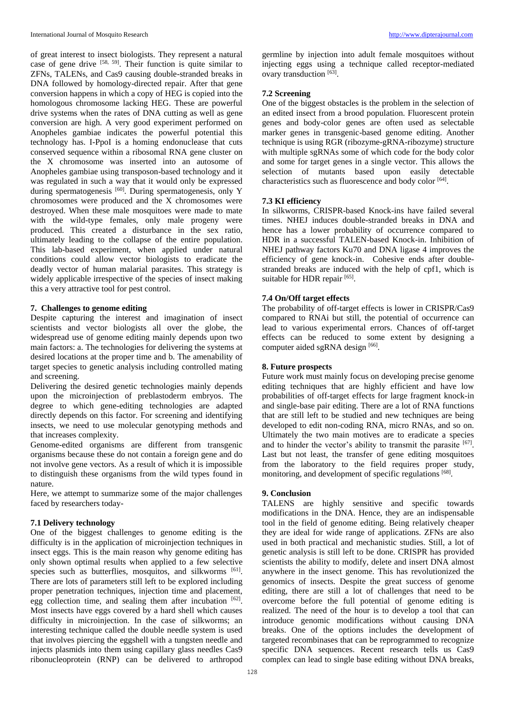of great interest to insect biologists. They represent a natural case of gene drive  $[58, 59]$ . Their function is quite similar to ZFNs, TALENs, and Cas9 causing double-stranded breaks in DNA followed by homology-directed repair. After that gene conversion happens in which a copy of HEG is copied into the homologous chromosome lacking HEG. These are powerful drive systems when the rates of DNA cutting as well as gene conversion are high. A very good experiment performed on Anopheles gambiae indicates the powerful potential this technology has. I-PpoI is a homing endonuclease that cuts conserved sequence within a ribosomal RNA gene cluster on the X chromosome was inserted into an autosome of Anopheles gambiae using transposon-based technology and it was regulated in such a way that it would only be expressed during spermatogenesis <sup>[60]</sup>. During spermatogenesis, only Y chromosomes were produced and the X chromosomes were destroyed. When these male mosquitoes were made to mate with the wild-type females, only male progeny were produced. This created a disturbance in the sex ratio, ultimately leading to the collapse of the entire population. This lab-based experiment, when applied under natural conditions could allow vector biologists to eradicate the deadly vector of human malarial parasites. This strategy is widely applicable irrespective of the species of insect making this a very attractive tool for pest control.

### **7. Challenges to genome editing**

Despite capturing the interest and imagination of insect scientists and vector biologists all over the globe, the widespread use of genome editing mainly depends upon two main factors: a. The technologies for delivering the systems at desired locations at the proper time and b. The amenability of target species to genetic analysis including controlled mating and screening.

Delivering the desired genetic technologies mainly depends upon the microinjection of preblastoderm embryos. The degree to which gene-editing technologies are adapted directly depends on this factor. For screening and identifying insects, we need to use molecular genotyping methods and that increases complexity.

Genome-edited organisms are different from transgenic organisms because these do not contain a foreign gene and do not involve gene vectors. As a result of which it is impossible to distinguish these organisms from the wild types found in nature.

Here, we attempt to summarize some of the major challenges faced by researchers today-

## **7.1 Delivery technology**

One of the biggest challenges to genome editing is the difficulty is in the application of microinjection techniques in insect eggs. This is the main reason why genome editing has only shown optimal results when applied to a few selective species such as butterflies, mosquitos, and silkworms [61]. There are lots of parameters still left to be explored including proper penetration techniques, injection time and placement, egg collection time, and sealing them after incubation [62]. Most insects have eggs covered by a hard shell which causes difficulty in microinjection. In the case of silkworms; an interesting technique called the double needle system is used that involves piercing the eggshell with a tungsten needle and injects plasmids into them using capillary glass needles Cas9 ribonucleoprotein (RNP) can be delivered to arthropod

germline by injection into adult female mosquitoes without injecting eggs using a technique called receptor-mediated ovary transduction [63].

### **7.2 Screening**

One of the biggest obstacles is the problem in the selection of an edited insect from a brood population. Fluorescent protein genes and body-color genes are often used as selectable marker genes in transgenic-based genome editing. Another technique is using RGR (ribozyme-gRNA-ribozyme) structure with multiple sgRNAs some of which code for the body color and some for target genes in a single vector. This allows the selection of mutants based upon easily detectable characteristics such as fluorescence and body color [64].

## **7.3 KI efficiency**

In silkworms, CRISPR-based Knock-ins have failed several times. NHEJ induces double-stranded breaks in DNA and hence has a lower probability of occurrence compared to HDR in a successful TALEN-based Knock-in. Inhibition of NHEJ pathway factors Ku70 and DNA ligase 4 improves the efficiency of gene knock-in. Cohesive ends after doublestranded breaks are induced with the help of cpf1, which is suitable for HDR repair [65].

## **7.4 On/Off target effects**

The probability of off-target effects is lower in CRISPR/Cas9 compared to RNAi but still, the potential of occurrence can lead to various experimental errors. Chances of off-target effects can be reduced to some extent by designing a computer aided sgRNA design [66].

### **8. Future prospects**

Future work must mainly focus on developing precise genome editing techniques that are highly efficient and have low probabilities of off-target effects for large fragment knock-in and single-base pair editing. There are a lot of RNA functions that are still left to be studied and new techniques are being developed to edit non-coding RNA, micro RNAs, and so on. Ultimately the two main motives are to eradicate a species and to hinder the vector's ability to transmit the parasite  $[67]$ . Last but not least, the transfer of gene editing mosquitoes from the laboratory to the field requires proper study, monitoring, and development of specific regulations [68].

## **9. Conclusion**

TALENS are highly sensitive and specific towards modifications in the DNA. Hence, they are an indispensable tool in the field of genome editing. Being relatively cheaper they are ideal for wide range of applications. ZFNs are also used in both practical and mechanistic studies. Still, a lot of genetic analysis is still left to be done. CRISPR has provided scientists the ability to modify, delete and insert DNA almost anywhere in the insect genome. This has revolutionized the genomics of insects. Despite the great success of genome editing, there are still a lot of challenges that need to be overcome before the full potential of genome editing is realized. The need of the hour is to develop a tool that can introduce genomic modifications without causing DNA breaks. One of the options includes the development of targeted recombinases that can be reprogrammed to recognize specific DNA sequences. Recent research tells us Cas9 complex can lead to single base editing without DNA breaks,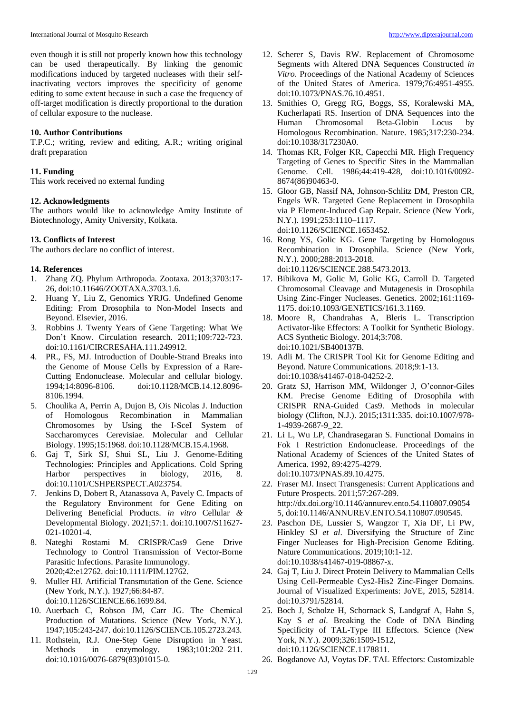even though it is still not properly known how this technology can be used therapeutically. By linking the genomic modifications induced by targeted nucleases with their selfinactivating vectors improves the specificity of genome editing to some extent because in such a case the frequency of off-target modification is directly proportional to the duration of cellular exposure to the nuclease.

#### **10. Author Contributions**

T.P.C.; writing, review and editing, A.R.; writing original draft preparation

#### **11. Funding**

This work received no external funding

#### **12. Acknowledgments**

The authors would like to acknowledge Amity Institute of Biotechnology, Amity University, Kolkata.

#### **13. Conflicts of Interest**

The authors declare no conflict of interest.

#### **14. References**

- 1. Zhang ZQ. Phylum Arthropoda. Zootaxa. 2013;3703:17- 26, doi:10.11646/ZOOTAXA.3703.1.6.
- 2. Huang Y, Liu Z, Genomics YRJG. Undefined Genome Editing: From Drosophila to Non-Model Insects and Beyond. Elsevier, 2016.
- 3. Robbins J. Twenty Years of Gene Targeting: What We Don't Know. Circulation research. 2011;109:722-723. doi:10.1161/CIRCRESAHA.111.249912.
- 4. PR., FS, MJ. Introduction of Double-Strand Breaks into the Genome of Mouse Cells by Expression of a Rare-Cutting Endonuclease. Molecular and cellular biology. 1994;14:8096-8106. doi:10.1128/MCB.14.12.8096- 8106.1994.
- 5. Choulika A, Perrin A, Dujon B, Ois Nicolas J. Induction of Homologous Recombination in Mammalian Chromosomes by Using the I-SceI System of Saccharomyces Cerevisiae. Molecular and Cellular Biology. 1995;15:1968. doi:10.1128/MCB.15.4.1968.
- 6. Gaj T, Sirk SJ, Shui SL, Liu J. Genome-Editing Technologies: Principles and Applications. Cold Spring Harbor perspectives in biology, 2016, 8. doi:10.1101/CSHPERSPECT.A023754.
- 7. Jenkins D, Dobert R, Atanassova A, Pavely C. Impacts of the Regulatory Environment for Gene Editing on Delivering Beneficial Products. *in vitro* Cellular *&*  Developmental Biology. 2021;57:1. doi:10.1007/S11627- 021-10201-4.
- 8. Nateghi Rostami M. CRISPR/Cas9 Gene Drive Technology to Control Transmission of Vector-Borne Parasitic Infections. Parasite Immunology. 2020;42:e12762. doi:10.1111/PIM.12762.
- 9. Muller HJ. Artificial Transmutation of the Gene. Science (New York, N.Y.). 1927;66:84-87. doi:10.1126/SCIENCE.66.1699.84.
- 10. Auerbach C, Robson JM, Carr JG. The Chemical Production of Mutations. Science (New York, N.Y.). 1947;105:243-247. doi:10.1126/SCIENCE.105.2723.243.
- 11. Rothstein, R.J. One-Step Gene Disruption in Yeast. Methods in enzymology. 1983;101:202–211. doi:10.1016/0076-6879(83)01015-0.
- 12. Scherer S, Davis RW. Replacement of Chromosome Segments with Altered DNA Sequences Constructed *in Vitro*. Proceedings of the National Academy of Sciences of the United States of America. 1979;76:4951-4955. doi:10.1073/PNAS.76.10.4951.
- 13. Smithies O, Gregg RG, Boggs, SS, Koralewski MA, Kucherlapati RS. Insertion of DNA Sequences into the Human Chromosomal Beta-Globin Locus by Homologous Recombination. Nature. 1985;317:230-234. doi:10.1038/317230A0.
- 14. Thomas KR, Folger KR, Capecchi MR. High Frequency Targeting of Genes to Specific Sites in the Mammalian Genome. Cell. 1986;44:419-428, doi:10.1016/0092- 8674(86)90463-0.
- 15. Gloor GB, Nassif NA, Johnson-Schlitz DM, Preston CR, Engels WR. Targeted Gene Replacement in Drosophila via P Element-Induced Gap Repair. Science (New York, N.Y.). 1991;253:1110–1117. doi:10.1126/SCIENCE.1653452.
- 16. Rong YS, Golic KG. Gene Targeting by Homologous Recombination in Drosophila. Science (New York, N.Y.). 2000;288:2013-2018. doi:10.1126/SCIENCE.288.5473.2013.
- 17. Bibikova M, Golic M, Golic KG, Carroll D. Targeted Chromosomal Cleavage and Mutagenesis in Drosophila Using Zinc-Finger Nucleases. Genetics. 2002;161:1169- 1175. doi:10.1093/GENETICS/161.3.1169.
- 18. Moore R, Chandrahas A, Bleris L. Transcription Activator-like Effectors: A Toolkit for Synthetic Biology. ACS Synthetic Biology. 2014;3:708. doi:10.1021/SB400137B.
- 19. Adli M. The CRISPR Tool Kit for Genome Editing and Beyond. Nature Communications. 2018;9:1-13. doi:10.1038/s41467-018-04252-2.
- 20. Gratz SJ, Harrison MM, Wildonger J, O'connor-Giles KM. Precise Genome Editing of Drosophila with CRISPR RNA-Guided Cas9. Methods in molecular biology (Clifton, N.J.). 2015;1311:335. doi:10.1007/978- 1-4939-2687-9\_22.
- 21. Li L, Wu LP, Chandrasegaran S. Functional Domains in Fok I Restriction Endonuclease. Proceedings of the National Academy of Sciences of the United States of America. 1992, 89:4275-4279. doi:10.1073/PNAS.89.10.4275.
- 22. Fraser MJ. Insect Transgenesis: Current Applications and Future Prospects. 2011;57:267-289. http://dx.doi.org/10.1146/annurev.ento.54.110807.09054 5, doi:10.1146/ANNUREV.ENTO.54.110807.090545.
- 23. Paschon DE, Lussier S, Wangzor T, Xia DF, Li PW, Hinkley SJ *et al*. Diversifying the Structure of Zinc Finger Nucleases for High-Precision Genome Editing. Nature Communications. 2019;10:1-12. doi:10.1038/s41467-019-08867-x.
- 24. Gaj T, Liu J. Direct Protein Delivery to Mammalian Cells Using Cell-Permeable Cys2-His2 Zinc-Finger Domains. Journal of Visualized Experiments: JoVE, 2015, 52814. doi:10.3791/52814.
- 25. Boch J, Scholze H, Schornack S, Landgraf A, Hahn S, Kay S *et al*. Breaking the Code of DNA Binding Specificity of TAL-Type III Effectors. Science (New York, N.Y.). 2009;326:1509-1512, doi:10.1126/SCIENCE.1178811.
- 26. Bogdanove AJ, Voytas DF. TAL Effectors: Customizable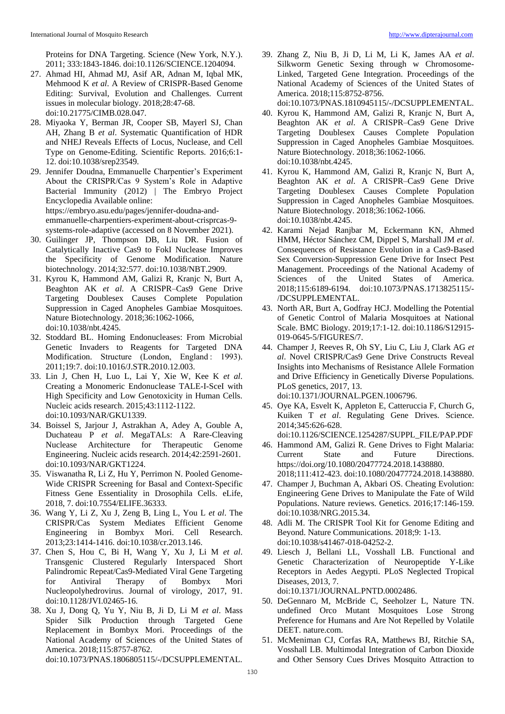Proteins for DNA Targeting. Science (New York, N.Y.). 2011; 333:1843-1846. doi:10.1126/SCIENCE.1204094.

- 27. Ahmad HI, Ahmad MJ, Asif AR, Adnan M, Iqbal MK, Mehmood K *et al*. A Review of CRISPR-Based Genome Editing: Survival, Evolution and Challenges. Current issues in molecular biology. 2018;28:47-68. doi:10.21775/CIMB.028.047.
- 28. Miyaoka Y, Berman JR, Cooper SB, Mayerl SJ, Chan AH, Zhang B *et al*. Systematic Quantification of HDR and NHEJ Reveals Effects of Locus, Nuclease, and Cell Type on Genome-Editing. Scientific Reports. 2016;6:1- 12. doi:10.1038/srep23549.
- 29. Jennifer Doudna, Emmanuelle Charpentier's Experiment About the CRISPR/Cas 9 System's Role in Adaptive Bacterial Immunity (2012) | The Embryo Project Encyclopedia Available online: https://embryo.asu.edu/pages/jennifer-doudna-andemmanuelle-charpentiers-experiment-about-crisprcas-9 systems-role-adaptive (accessed on 8 November 2021).
- 30. Guilinger JP, Thompson DB, Liu DR. Fusion of Catalytically Inactive Cas9 to FokI Nuclease Improves the Specificity of Genome Modification. Nature biotechnology. 2014;32:577. doi:10.1038/NBT.2909.
- 31. Kyrou K, Hammond AM, Galizi R, Kranjc N, Burt A, Beaghton AK *et al*. A CRISPR–Cas9 Gene Drive Targeting Doublesex Causes Complete Population Suppression in Caged Anopheles Gambiae Mosquitoes. Nature Biotechnology. 2018;36:1062-1066, doi:10.1038/nbt.4245.
- 32. Stoddard BL. Homing Endonucleases: From Microbial Genetic Invaders to Reagents for Targeted DNA Modification. Structure (London, England: 1993). 2011;19:7. doi:10.1016/J.STR.2010.12.003.
- 33. Lin J, Chen H, Luo L, Lai Y, Xie W, Kee K *et al*. Creating a Monomeric Endonuclease TALE-I-SceI with High Specificity and Low Genotoxicity in Human Cells. Nucleic acids research. 2015;43:1112-1122. doi:10.1093/NAR/GKU1339.
- 34. Boissel S, Jarjour J, Astrakhan A, Adey A, Gouble A, Duchateau P *et al*. MegaTALs: A Rare-Cleaving Nuclease Architecture for Therapeutic Genome Engineering. Nucleic acids research. 2014;42:2591-2601. doi:10.1093/NAR/GKT1224.
- 35. Viswanatha R, Li Z, Hu Y, Perrimon N. Pooled Genome-Wide CRISPR Screening for Basal and Context-Specific Fitness Gene Essentiality in Drosophila Cells. eLife, 2018, 7. doi:10.7554/ELIFE.36333.
- 36. Wang Y, Li Z, Xu J, Zeng B, Ling L, You L *et al*. The CRISPR/Cas System Mediates Efficient Genome Engineering in Bombyx Mori. Cell Research. 2013;23:1414-1416. doi:10.1038/cr.2013.146.
- 37. Chen S, Hou C, Bi H, Wang Y, Xu J, Li M *et al*. Transgenic Clustered Regularly Interspaced Short Palindromic Repeat/Cas9-Mediated Viral Gene Targeting for Antiviral Therapy of Bombyx Mori Nucleopolyhedrovirus. Journal of virology, 2017, 91. doi:10.1128/JVI.02465-16.
- 38. Xu J, Dong Q, Yu Y, Niu B, Ji D, Li M *et al*. Mass Spider Silk Production through Targeted Gene Replacement in Bombyx Mori. Proceedings of the National Academy of Sciences of the United States of America. 2018;115:8757-8762.

doi:10.1073/PNAS.1806805115/-/DCSUPPLEMENTAL.

39. Zhang Z, Niu B, Ji D, Li M, Li K, James AA *et al*. Silkworm Genetic Sexing through w Chromosome-Linked, Targeted Gene Integration. Proceedings of the National Academy of Sciences of the United States of America. 2018;115:8752-8756.

doi:10.1073/PNAS.1810945115/-/DCSUPPLEMENTAL.

- 40. Kyrou K, Hammond AM, Galizi R, Kranjc N, Burt A, Beaghton AK *et al*. A CRISPR–Cas9 Gene Drive Targeting Doublesex Causes Complete Population Suppression in Caged Anopheles Gambiae Mosquitoes. Nature Biotechnology. 2018;36:1062-1066. doi:10.1038/nbt.4245.
- 41. Kyrou K, Hammond AM, Galizi R, Kranjc N, Burt A, Beaghton AK *et al*. A CRISPR–Cas9 Gene Drive Targeting Doublesex Causes Complete Population Suppression in Caged Anopheles Gambiae Mosquitoes. Nature Biotechnology. 2018;36:1062-1066. doi:10.1038/nbt.4245.
- 42. Karami Nejad Ranjbar M, Eckermann KN, Ahmed HMM, Héctor Sánchez CM, Dippel S, Marshall JM *et al*. Consequences of Resistance Evolution in a Cas9-Based Sex Conversion-Suppression Gene Drive for Insect Pest Management. Proceedings of the National Academy of Sciences of the United States of America. 2018;115:6189-6194. doi:10.1073/PNAS.1713825115/- /DCSUPPLEMENTAL.
- 43. North AR, Burt A, Godfray HCJ. Modelling the Potential of Genetic Control of Malaria Mosquitoes at National Scale. BMC Biology. 2019;17:1-12. doi:10.1186/S12915- 019-0645-5/FIGURES/7.
- 44. Champer J, Reeves R, Oh SY, Liu C, Liu J, Clark AG *et al*. Novel CRISPR/Cas9 Gene Drive Constructs Reveal Insights into Mechanisms of Resistance Allele Formation and Drive Efficiency in Genetically Diverse Populations. PLoS genetics, 2017, 13. doi:10.1371/JOURNAL.PGEN.1006796.
- 45. Oye KA, Esvelt K, Appleton E, Catteruccia F, Church G, Kuiken T *et al*. Regulating Gene Drives. Science. 2014;345:626-628.
	- doi:10.1126/SCIENCE.1254287/SUPPL\_FILE/PAP.PDF
- 46. Hammond AM, Galizi R. Gene Drives to Fight Malaria: Current State and Future Directions. https://doi.org/10.1080/20477724.2018.1438880. 2018;111:412-423. doi:10.1080/20477724.2018.1438880.
- 47. Champer J, Buchman A, Akbari OS. Cheating Evolution: Engineering Gene Drives to Manipulate the Fate of Wild Populations. Nature reviews. Genetics. 2016;17:146-159. doi:10.1038/NRG.2015.34.
- 48. Adli M. The CRISPR Tool Kit for Genome Editing and Beyond. Nature Communications. 2018;9: 1-13. doi:10.1038/s41467-018-04252-2.
- 49. Liesch J, Bellani LL, Vosshall LB. Functional and Genetic Characterization of Neuropeptide Y-Like Receptors in Aedes Aegypti. PLoS Neglected Tropical Diseases, 2013, 7. doi:10.1371/JOURNAL.PNTD.0002486.
- 50. DeGennaro M, McBride C, Seeholzer L, Nature TN. undefined Orco Mutant Mosquitoes Lose Strong Preference for Humans and Are Not Repelled by Volatile DEET. nature.com.
- 51. McMeniman CJ, Corfas RA, Matthews BJ, Ritchie SA, Vosshall LB. Multimodal Integration of Carbon Dioxide and Other Sensory Cues Drives Mosquito Attraction to